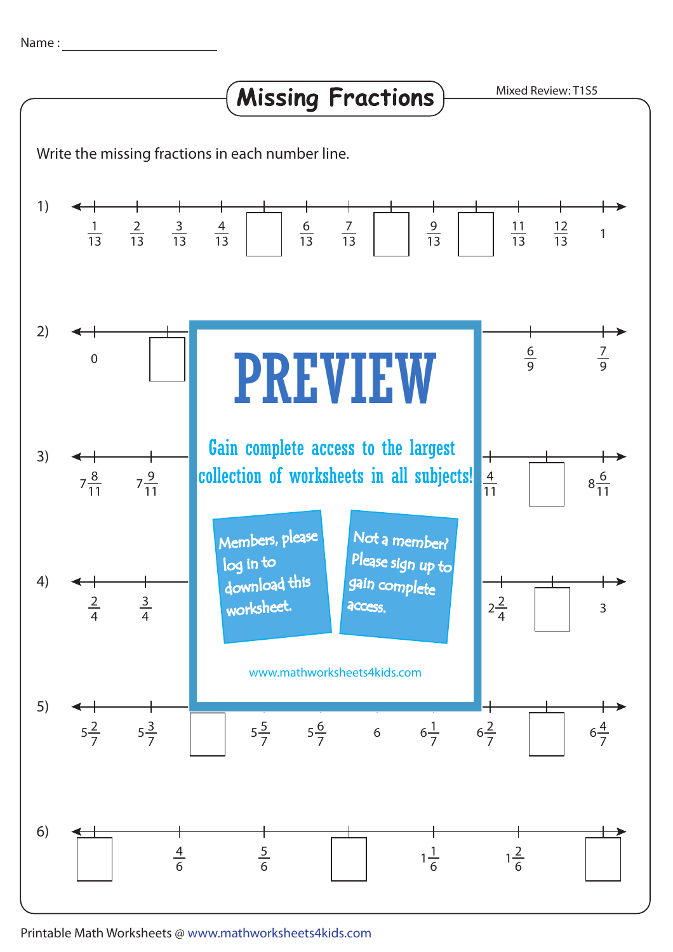